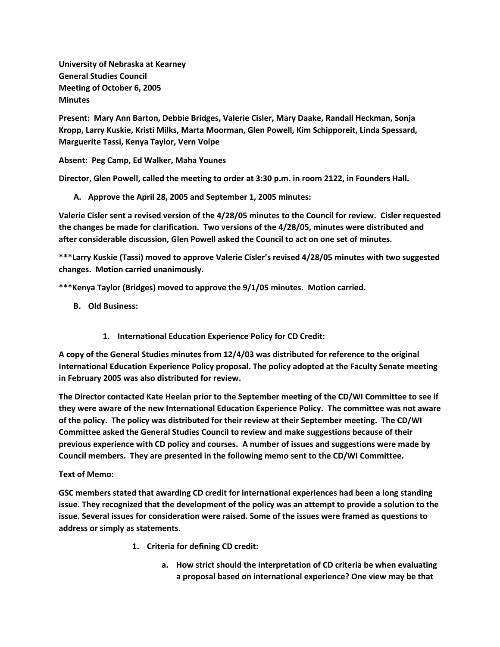**University of Nebraska at Kearney General Studies Council Meeting of October 6, 2005 Minutes**

**Present: Mary Ann Barton, Debbie Bridges, Valerie Cisler, Mary Daake, Randall Heckman, Sonja Kropp, Larry Kuskie, Kristi Milks, Marta Moorman, Glen Powell, Kim Schipporeit, Linda Spessard, Marguerite Tassi, Kenya Taylor, Vern Volpe**

**Absent: Peg Camp, Ed Walker, Maha Younes**

**Director, Glen Powell, called the meeting to order at 3:30 p.m. in room 2122, in Founders Hall.**

**A. Approve the April 28, 2005 and September 1, 2005 minutes:**

**Valerie Cisler sent a revised version of the 4/28/05 minutes to the Council for review. Cisler requested the changes be made for clarification. Two versions of the 4/28/05, minutes were distributed and after considerable discussion, Glen Powell asked the Council to act on one set of minutes.**

**\*\*\*Larry Kuskie (Tassi) moved to approve Valerie Cisler's revised 4/28/05 minutes with two suggested changes. Motion carried unanimously.**

**\*\*\*Kenya Taylor (Bridges) moved to approve the 9/1/05 minutes. Motion carried.**

- **B. Old Business:**
	- **1. International Education Experience Policy for CD Credit:**

**A copy of the General Studies minutes from 12/4/03 was distributed for reference to the original International Education Experience Policy proposal. The policy adopted at the Faculty Senate meeting in February 2005 was also distributed for review.**

**The Director contacted Kate Heelan prior to the September meeting of the CD/WI Committee to see if they were aware of the new International Education Experience Policy. The committee was not aware of the policy. The policy was distributed for their review at their September meeting. The CD/WI Committee asked the General Studies Council to review and make suggestions because of their previous experience with CD policy and courses. A number of issues and suggestions were made by Council members. They are presented in the following memo sent to the CD/WI Committee.**

## **Text of Memo:**

**GSC members stated that awarding CD credit for international experiences had been a long standing issue. They recognized that the development of the policy was an attempt to provide a solution to the issue. Several issues for consideration were raised. Some of the issues were framed as questions to address or simply as statements.**

- **1. Criteria for defining CD credit:** 
	- **a. How strict should the interpretation of CD criteria be when evaluating a proposal based on international experience? One view may be that**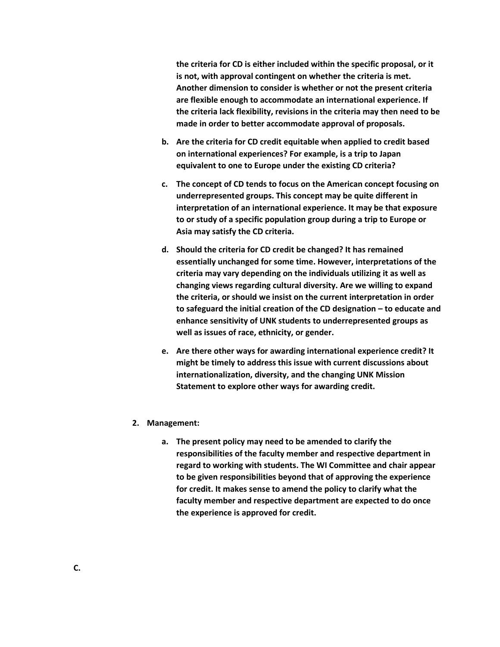**the criteria for CD is either included within the specific proposal, or it is not, with approval contingent on whether the criteria is met. Another dimension to consider is whether or not the present criteria are flexible enough to accommodate an international experience. If the criteria lack flexibility, revisions in the criteria may then need to be made in order to better accommodate approval of proposals.**

- **b. Are the criteria for CD credit equitable when applied to credit based on international experiences? For example, is a trip to Japan equivalent to one to Europe under the existing CD criteria?**
- **c. The concept of CD tends to focus on the American concept focusing on underrepresented groups. This concept may be quite different in interpretation of an international experience. It may be that exposure to or study of a specific population group during a trip to Europe or Asia may satisfy the CD criteria.**
- **d. Should the criteria for CD credit be changed? It has remained essentially unchanged for some time. However, interpretations of the criteria may vary depending on the individuals utilizing it as well as changing views regarding cultural diversity. Are we willing to expand the criteria, or should we insist on the current interpretation in order to safeguard the initial creation of the CD designation – to educate and enhance sensitivity of UNK students to underrepresented groups as well as issues of race, ethnicity, or gender.**
- **e. Are there other ways for awarding international experience credit? It might be timely to address this issue with current discussions about internationalization, diversity, and the changing UNK Mission Statement to explore other ways for awarding credit.**
- **2. Management:** 
	- **a. The present policy may need to be amended to clarify the responsibilities of the faculty member and respective department in regard to working with students. The WI Committee and chair appear to be given responsibilities beyond that of approving the experience for credit. It makes sense to amend the policy to clarify what the faculty member and respective department are expected to do once the experience is approved for credit.**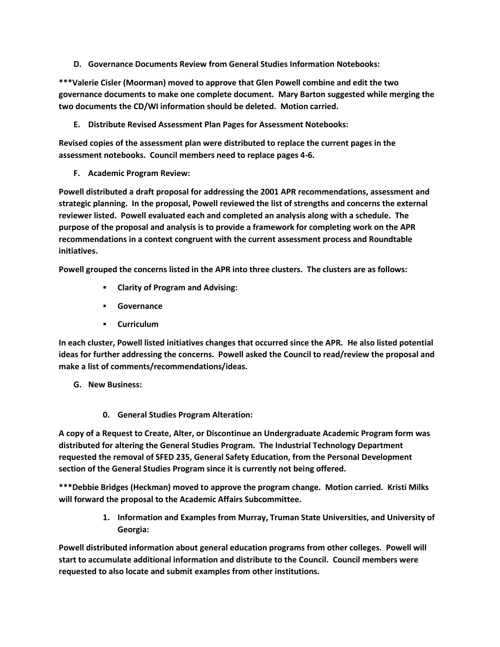**D. Governance Documents Review from General Studies Information Notebooks:**

**\*\*\*Valerie Cisler (Moorman) moved to approve that Glen Powell combine and edit the two governance documents to make one complete document. Mary Barton suggested while merging the two documents the CD/WI information should be deleted. Motion carried.**

**E. Distribute Revised Assessment Plan Pages for Assessment Notebooks:**

**Revised copies of the assessment plan were distributed to replace the current pages in the assessment notebooks. Council members need to replace pages 4-6.**

**F. Academic Program Review:**

**Powell distributed a draft proposal for addressing the 2001 APR recommendations, assessment and strategic planning. In the proposal, Powell reviewed the list of strengths and concerns the external reviewer listed. Powell evaluated each and completed an analysis along with a schedule. The purpose of the proposal and analysis is to provide a framework for completing work on the APR recommendations in a context congruent with the current assessment process and Roundtable initiatives.**

**Powell grouped the concerns listed in the APR into three clusters. The clusters are as follows:**

- **Clarity of Program and Advising:**
- **Governance**
- **Curriculum**

**In each cluster, Powell listed initiatives changes that occurred since the APR. He also listed potential ideas for further addressing the concerns. Powell asked the Council to read/review the proposal and make a list of comments/recommendations/ideas.**

- **G. New Business:**
	- **0. General Studies Program Alteration:**

**A copy of a Request to Create, Alter, or Discontinue an Undergraduate Academic Program form was distributed for altering the General Studies Program. The Industrial Technology Department requested the removal of SFED 235, General Safety Education, from the Personal Development section of the General Studies Program since it is currently not being offered.**

**\*\*\*Debbie Bridges (Heckman) moved to approve the program change. Motion carried. Kristi Milks will forward the proposal to the Academic Affairs Subcommittee.**

> **1. Information and Examples from Murray, Truman State Universities, and University of Georgia:**

**Powell distributed information about general education programs from other colleges. Powell will start to accumulate additional information and distribute to the Council. Council members were requested to also locate and submit examples from other institutions.**